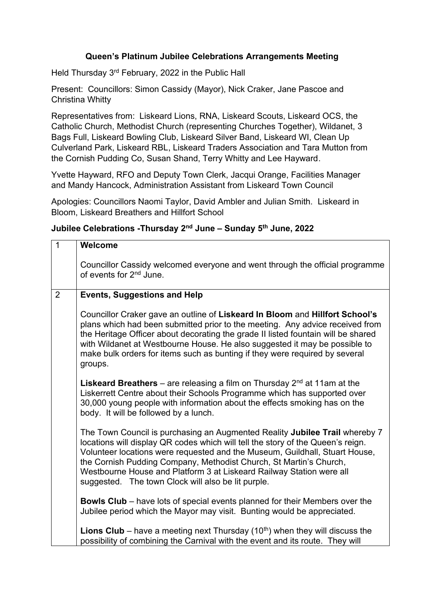## **Queen's Platinum Jubilee Celebrations Arrangements Meeting**

Held Thursday 3<sup>rd</sup> February, 2022 in the Public Hall

Present: Councillors: Simon Cassidy (Mayor), Nick Craker, Jane Pascoe and Christina Whitty

Representatives from: Liskeard Lions, RNA, Liskeard Scouts, Liskeard OCS, the Catholic Church, Methodist Church (representing Churches Together), Wildanet, 3 Bags Full, Liskeard Bowling Club, Liskeard Silver Band, Liskeard WI, Clean Up Culverland Park, Liskeard RBL, Liskeard Traders Association and Tara Mutton from the Cornish Pudding Co, Susan Shand, Terry Whitty and Lee Hayward.

Yvette Hayward, RFO and Deputy Town Clerk, Jacqui Orange, Facilities Manager and Mandy Hancock, Administration Assistant from Liskeard Town Council

Apologies: Councillors Naomi Taylor, David Ambler and Julian Smith. Liskeard in Bloom, Liskeard Breathers and Hillfort School

## **Jubilee Celebrations -Thursday 2nd June – Sunday 5th June, 2022**

| $\overline{1}$ | Welcome                                                                                                                                                                                                                                                                                                                                                                                                                                           |
|----------------|---------------------------------------------------------------------------------------------------------------------------------------------------------------------------------------------------------------------------------------------------------------------------------------------------------------------------------------------------------------------------------------------------------------------------------------------------|
|                | Councillor Cassidy welcomed everyone and went through the official programme<br>of events for 2 <sup>nd</sup> June.                                                                                                                                                                                                                                                                                                                               |
| $\overline{2}$ | <b>Events, Suggestions and Help</b>                                                                                                                                                                                                                                                                                                                                                                                                               |
|                | Councillor Craker gave an outline of Liskeard In Bloom and Hillfort School's<br>plans which had been submitted prior to the meeting. Any advice received from<br>the Heritage Officer about decorating the grade II listed fountain will be shared<br>with Wildanet at Westbourne House. He also suggested it may be possible to<br>make bulk orders for items such as bunting if they were required by several<br>groups.                        |
|                | <b>Liskeard Breathers</b> – are releasing a film on Thursday $2^{nd}$ at 11am at the<br>Liskerrett Centre about their Schools Programme which has supported over<br>30,000 young people with information about the effects smoking has on the<br>body. It will be followed by a lunch.                                                                                                                                                            |
|                | The Town Council is purchasing an Augmented Reality Jubilee Trail whereby 7<br>locations will display QR codes which will tell the story of the Queen's reign.<br>Volunteer locations were requested and the Museum, Guildhall, Stuart House,<br>the Cornish Pudding Company, Methodist Church, St Martin's Church,<br>Westbourne House and Platform 3 at Liskeard Railway Station were all<br>suggested. The town Clock will also be lit purple. |
|                | <b>Bowls Club</b> – have lots of special events planned for their Members over the<br>Jubilee period which the Mayor may visit. Bunting would be appreciated.                                                                                                                                                                                                                                                                                     |
|                | <b>Lions Club</b> – have a meeting next Thursday (10 <sup>th</sup> ) when they will discuss the<br>possibility of combining the Carnival with the event and its route. They will                                                                                                                                                                                                                                                                  |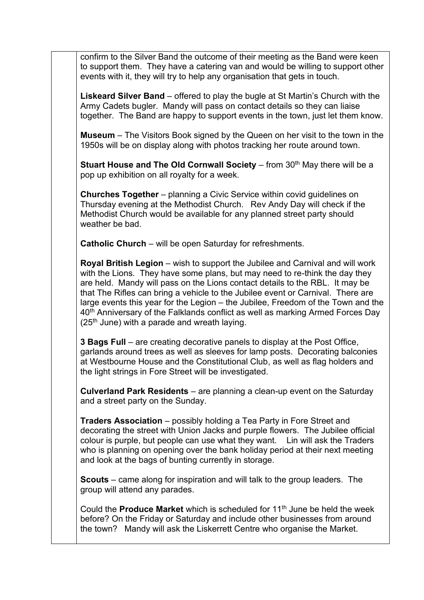confirm to the Silver Band the outcome of their meeting as the Band were keen to support them. They have a catering van and would be willing to support other events with it, they will try to help any organisation that gets in touch.

**Liskeard Silver Band** – offered to play the bugle at St Martin's Church with the Army Cadets bugler. Mandy will pass on contact details so they can liaise together. The Band are happy to support events in the town, just let them know.

**Museum** – The Visitors Book signed by the Queen on her visit to the town in the 1950s will be on display along with photos tracking her route around town.

**Stuart House and The Old Cornwall Society** – from 30<sup>th</sup> May there will be a pop up exhibition on all royalty for a week.

**Churches Together** – planning a Civic Service within covid guidelines on Thursday evening at the Methodist Church. Rev Andy Day will check if the Methodist Church would be available for any planned street party should weather be bad.

**Catholic Church** – will be open Saturday for refreshments.

**Royal British Legion** – wish to support the Jubilee and Carnival and will work with the Lions. They have some plans, but may need to re-think the day they are held. Mandy will pass on the Lions contact details to the RBL. It may be that The Rifles can bring a vehicle to the Jubilee event or Carnival. There are large events this year for the Legion – the Jubilee, Freedom of the Town and the 40<sup>th</sup> Anniversary of the Falklands conflict as well as marking Armed Forces Day  $(25<sup>th</sup>$  June) with a parade and wreath laying.

**3 Bags Full** – are creating decorative panels to display at the Post Office, garlands around trees as well as sleeves for lamp posts. Decorating balconies at Westbourne House and the Constitutional Club, as well as flag holders and the light strings in Fore Street will be investigated.

**Culverland Park Residents** – are planning a clean-up event on the Saturday and a street party on the Sunday.

**Traders Association** – possibly holding a Tea Party in Fore Street and decorating the street with Union Jacks and purple flowers. The Jubilee official colour is purple, but people can use what they want. Lin will ask the Traders who is planning on opening over the bank holiday period at their next meeting and look at the bags of bunting currently in storage.

**Scouts** – came along for inspiration and will talk to the group leaders. The group will attend any parades.

Could the **Produce Market** which is scheduled for 11<sup>th</sup> June be held the week before? On the Friday or Saturday and include other businesses from around the town? Mandy will ask the Liskerrett Centre who organise the Market.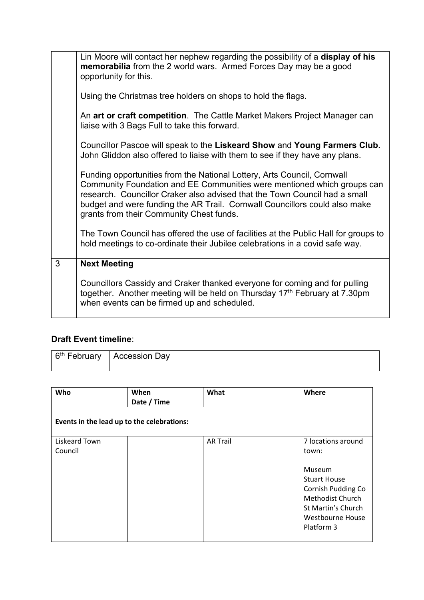|   | Lin Moore will contact her nephew regarding the possibility of a display of his<br>memorabilia from the 2 world wars. Armed Forces Day may be a good<br>opportunity for this.                                                                                                                                                                              |
|---|------------------------------------------------------------------------------------------------------------------------------------------------------------------------------------------------------------------------------------------------------------------------------------------------------------------------------------------------------------|
|   | Using the Christmas tree holders on shops to hold the flags.                                                                                                                                                                                                                                                                                               |
|   | An art or craft competition. The Cattle Market Makers Project Manager can<br>liaise with 3 Bags Full to take this forward.                                                                                                                                                                                                                                 |
|   | Councillor Pascoe will speak to the Liskeard Show and Young Farmers Club.<br>John Gliddon also offered to liaise with them to see if they have any plans.                                                                                                                                                                                                  |
|   | Funding opportunities from the National Lottery, Arts Council, Cornwall<br>Community Foundation and EE Communities were mentioned which groups can<br>research. Councillor Craker also advised that the Town Council had a small<br>budget and were funding the AR Trail. Cornwall Councillors could also make<br>grants from their Community Chest funds. |
|   | The Town Council has offered the use of facilities at the Public Hall for groups to<br>hold meetings to co-ordinate their Jubilee celebrations in a covid safe way.                                                                                                                                                                                        |
| 3 | <b>Next Meeting</b>                                                                                                                                                                                                                                                                                                                                        |
|   | Councillors Cassidy and Craker thanked everyone for coming and for pulling<br>together. Another meeting will be held on Thursday 17th February at 7.30pm<br>when events can be firmed up and scheduled.                                                                                                                                                    |

## **Draft Event timeline**:

| 6 <sup>th</sup> February | <b>Accession Day</b> |
|--------------------------|----------------------|
|--------------------------|----------------------|

| Who                                        | When<br>Date / Time | What            | Where                                                                                                                                                                        |  |
|--------------------------------------------|---------------------|-----------------|------------------------------------------------------------------------------------------------------------------------------------------------------------------------------|--|
| Events in the lead up to the celebrations: |                     |                 |                                                                                                                                                                              |  |
| Liskeard Town<br>Council                   |                     | <b>AR Trail</b> | 7 locations around<br>town:<br>Museum<br><b>Stuart House</b><br><b>Cornish Pudding Co</b><br>Methodist Church<br>St Martin's Church<br><b>Westbourne House</b><br>Platform 3 |  |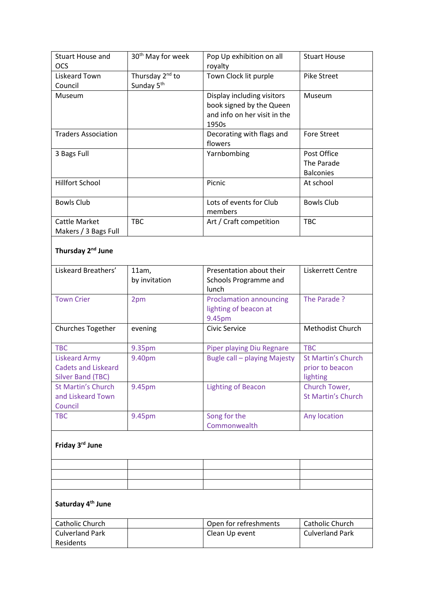| Friday 3rd June                                        |                               |                                       |                                |
|--------------------------------------------------------|-------------------------------|---------------------------------------|--------------------------------|
| <b>TBC</b>                                             | 9.45pm                        | Song for the<br>Commonwealth          | Any location                   |
| Council                                                |                               |                                       |                                |
| and Liskeard Town                                      |                               |                                       | <b>St Martin's Church</b>      |
| <b>St Martin's Church</b>                              | 9.45pm                        | <b>Lighting of Beacon</b>             | Church Tower,                  |
| <b>Cadets and Liskeard</b><br><b>Silver Band (TBC)</b> |                               |                                       | prior to beacon<br>lighting    |
| <b>Liskeard Army</b>                                   | 9.40pm                        | <b>Bugle call - playing Majesty</b>   | <b>St Martin's Church</b>      |
| <b>TBC</b>                                             | 9.35pm                        | <b>Piper playing Diu Regnare</b>      | <b>TBC</b>                     |
|                                                        |                               |                                       |                                |
| Churches Together                                      | evening                       | Civic Service                         | Methodist Church               |
|                                                        |                               | lighting of beacon at<br>9.45pm       |                                |
| <b>Town Crier</b>                                      | 2pm                           | <b>Proclamation announcing</b>        | The Parade ?                   |
|                                                        |                               | lunch                                 |                                |
|                                                        | by invitation                 | Schools Programme and                 |                                |
| Liskeard Breathers'                                    | 11am,                         | Presentation about their              | Liskerrett Centre              |
| Thursday 2 <sup>nd</sup> June                          |                               |                                       |                                |
|                                                        |                               |                                       |                                |
| Makers / 3 Bags Full                                   |                               |                                       |                                |
| Cattle Market                                          | <b>TBC</b>                    | members<br>Art / Craft competition    | <b>TBC</b>                     |
| <b>Bowls Club</b>                                      |                               | Lots of events for Club               | <b>Bowls Club</b>              |
|                                                        |                               |                                       |                                |
| <b>Hillfort School</b>                                 |                               | Picnic                                | At school                      |
|                                                        |                               |                                       | The Parade<br><b>Balconies</b> |
| 3 Bags Full                                            |                               | Yarnbombing                           | Post Office                    |
|                                                        |                               | flowers                               |                                |
| <b>Traders Association</b>                             |                               | Decorating with flags and             | <b>Fore Street</b>             |
|                                                        |                               | and info on her visit in the<br>1950s |                                |
|                                                        |                               | book signed by the Queen              |                                |
| Museum                                                 |                               | Display including visitors            | Museum                         |
| Council                                                | Sunday 5 <sup>th</sup>        |                                       |                                |
| Liskeard Town                                          | Thursday 2 <sup>nd</sup> to   | Town Clock lit purple                 | Pike Street                    |
| <b>OCS</b>                                             |                               | royalty                               |                                |
| <b>Stuart House and</b>                                | 30 <sup>th</sup> May for week | Pop Up exhibition on all              | <b>Stuart House</b>            |